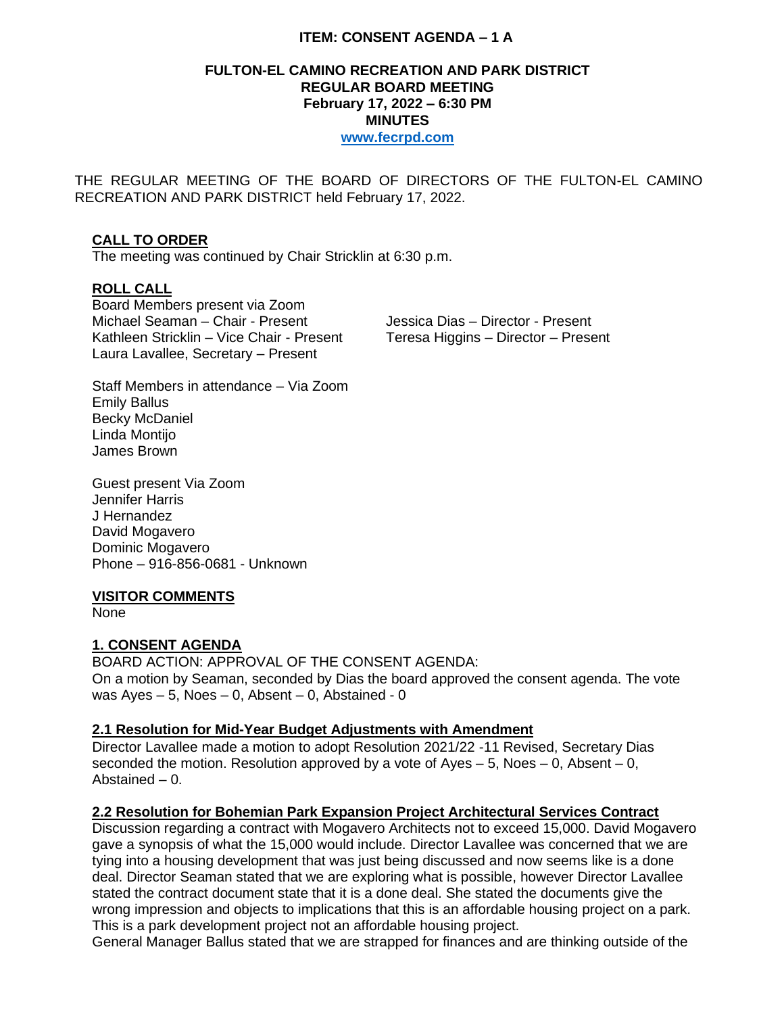# **ITEM: CONSENT AGENDA – 1 A**

#### **FULTON-EL CAMINO RECREATION AND PARK DISTRICT REGULAR BOARD MEETING February 17, 2022 – 6:30 PM MINUTES [www.fecrpd.com](http://www.fecrpd.com/)**

THE REGULAR MEETING OF THE BOARD OF DIRECTORS OF THE FULTON-EL CAMINO RECREATION AND PARK DISTRICT held February 17, 2022.

# **CALL TO ORDER**

The meeting was continued by Chair Stricklin at 6:30 p.m.

# **ROLL CALL**

Board Members present via Zoom Michael Seaman – Chair - Present Jessica Dias – Director - Present Kathleen Stricklin – Vice Chair - Present Teresa Higgins – Director – Present Laura Lavallee, Secretary – Present

Staff Members in attendance – Via Zoom Emily Ballus Becky McDaniel Linda Montijo James Brown

Guest present Via Zoom Jennifer Harris J Hernandez David Mogavero Dominic Mogavero Phone – 916-856-0681 - Unknown

# **VISITOR COMMENTS**

None

# **1. CONSENT AGENDA**

BOARD ACTION: APPROVAL OF THE CONSENT AGENDA: On a motion by Seaman, seconded by Dias the board approved the consent agenda. The vote was  $Ayes - 5$ , Noes  $- 0$ , Absent  $- 0$ , Abstained - 0

#### **2.1 Resolution for Mid-Year Budget Adjustments with Amendment**

Director Lavallee made a motion to adopt Resolution 2021/22 -11 Revised, Secretary Dias seconded the motion. Resolution approved by a vote of Ayes  $-5$ , Noes  $-0$ , Absent  $-0$ , Abstained – 0.

#### **2.2 Resolution for Bohemian Park Expansion Project Architectural Services Contract**

Discussion regarding a contract with Mogavero Architects not to exceed 15,000. David Mogavero gave a synopsis of what the 15,000 would include. Director Lavallee was concerned that we are tying into a housing development that was just being discussed and now seems like is a done deal. Director Seaman stated that we are exploring what is possible, however Director Lavallee stated the contract document state that it is a done deal. She stated the documents give the wrong impression and objects to implications that this is an affordable housing project on a park. This is a park development project not an affordable housing project.

General Manager Ballus stated that we are strapped for finances and are thinking outside of the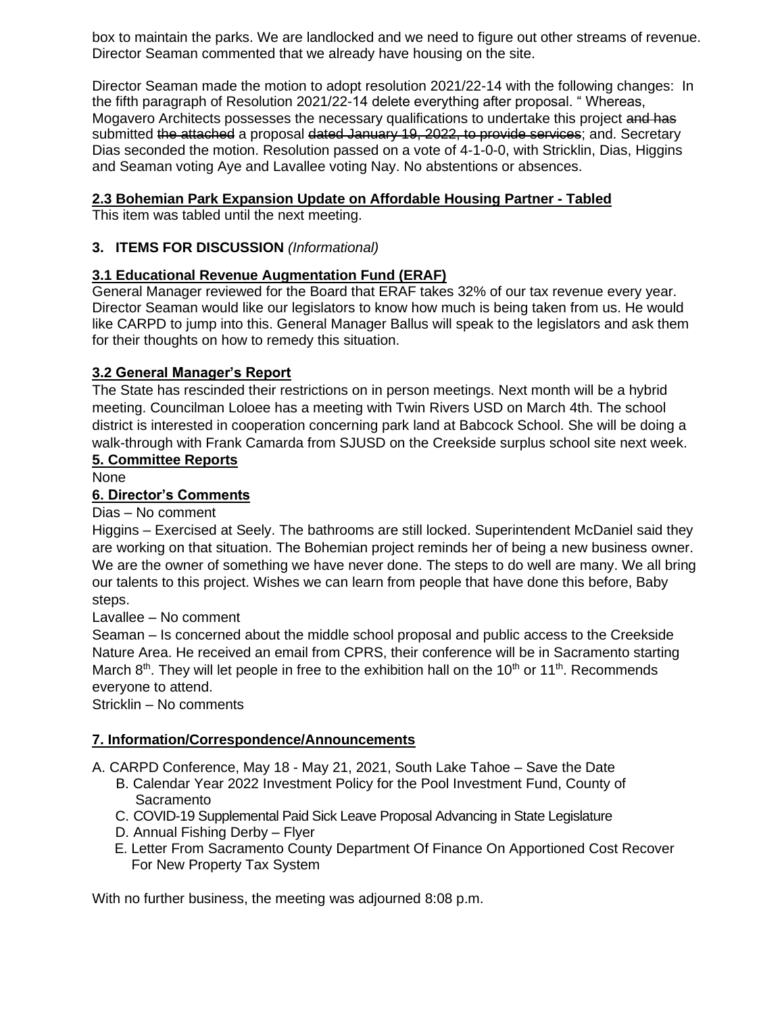box to maintain the parks. We are landlocked and we need to figure out other streams of revenue. Director Seaman commented that we already have housing on the site.

Director Seaman made the motion to adopt resolution 2021/22-14 with the following changes: In the fifth paragraph of Resolution 2021/22-14 delete everything after proposal. " Whereas, Mogavero Architects possesses the necessary qualifications to undertake this project and has submitted the attached a proposal dated January 19, 2022, to provide services; and. Secretary Dias seconded the motion. Resolution passed on a vote of 4-1-0-0, with Stricklin, Dias, Higgins and Seaman voting Aye and Lavallee voting Nay. No abstentions or absences.

# **2.3 Bohemian Park Expansion Update on Affordable Housing Partner - Tabled**

This item was tabled until the next meeting.

# **3. ITEMS FOR DISCUSSION** *(Informational)*

# **3.1 Educational Revenue Augmentation Fund (ERAF)**

General Manager reviewed for the Board that ERAF takes 32% of our tax revenue every year. Director Seaman would like our legislators to know how much is being taken from us. He would like CARPD to jump into this. General Manager Ballus will speak to the legislators and ask them for their thoughts on how to remedy this situation.

# **3.2 General Manager's Report**

The State has rescinded their restrictions on in person meetings. Next month will be a hybrid meeting. Councilman Loloee has a meeting with Twin Rivers USD on March 4th. The school district is interested in cooperation concerning park land at Babcock School. She will be doing a walk-through with Frank Camarda from SJUSD on the Creekside surplus school site next week.

#### **5. Committee Reports**

None

# **6. Director's Comments**

Dias – No comment

Higgins – Exercised at Seely. The bathrooms are still locked. Superintendent McDaniel said they are working on that situation. The Bohemian project reminds her of being a new business owner. We are the owner of something we have never done. The steps to do well are many. We all bring our talents to this project. Wishes we can learn from people that have done this before, Baby steps.

# Lavallee – No comment

Seaman – Is concerned about the middle school proposal and public access to the Creekside Nature Area. He received an email from CPRS, their conference will be in Sacramento starting March  $8<sup>th</sup>$ . They will let people in free to the exhibition hall on the 10<sup>th</sup> or 11<sup>th</sup>. Recommends everyone to attend.

Stricklin – No comments

# **7. Information/Correspondence/Announcements**

A. CARPD Conference, May 18 - May 21, 2021, South Lake Tahoe – Save the Date

- B. Calendar Year 2022 Investment Policy for the Pool Investment Fund, County of **Sacramento**
- C. COVID-19 Supplemental Paid Sick Leave Proposal Advancing in State Legislature
- D. Annual Fishing Derby Flyer
- E. Letter From Sacramento County Department Of Finance On Apportioned Cost Recover For New Property Tax System

With no further business, the meeting was adjourned 8:08 p.m.